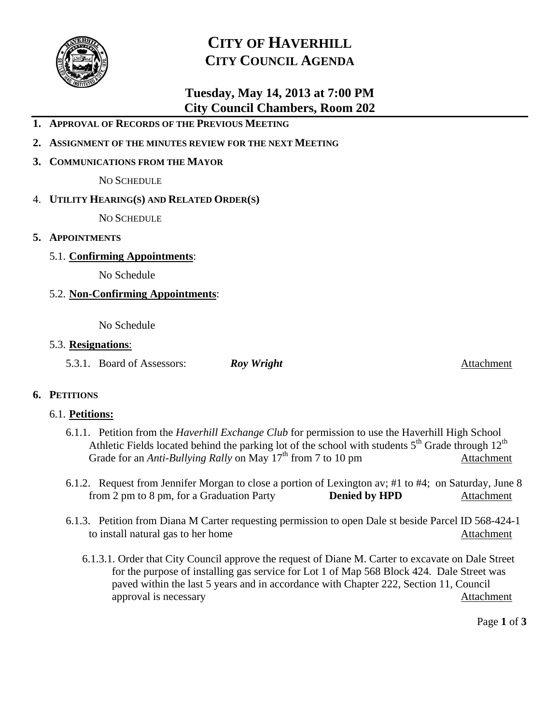

# **CITY OF HAVERHILL CITY COUNCIL AGENDA**

## **Tuesday, May 14, 2013 at 7:00 PM City Council Chambers, Room 202**

- **1. APPROVAL OF RECORDS OF THE PREVIOUS MEETING**
- **2. ASSIGNMENT OF THE MINUTES REVIEW FOR THE NEXT MEETING**
- **3. COMMUNICATIONS FROM THE MAYOR**

NO SCHEDULE

4. **UTILITY HEARING(S) AND RELATED ORDER(S)**

NO SCHEDULE

- **5. APPOINTMENTS**
	- 5.1. **Confirming Appointments**:

No Schedule

5.2. **Non-Confirming Appointments**:

No Schedule

#### 5.3. **Resignations**:

5.3.1. Board of Assessors: *Roy Wright* Attachment

### **6. PETITIONS**

### 6.1. **Petitions:**

- 6.1.1. Petition from the *Haverhill Exchange Club* for permission to use the Haverhill High School Athletic Fields located behind the parking lot of the school with students  $5<sup>th</sup>$  Grade through  $12<sup>th</sup>$ Grade for an *Anti-Bullying Rally* on May 17<sup>th</sup> from 7 to 10 pm Attachment
- 6.1.2. Request from Jennifer Morgan to close a portion of Lexington av; #1 to #4; on Saturday, June 8 from 2 pm to 8 pm, for a Graduation Party **Denied by HPD** Attachment
- 6.1.3. Petition from Diana M Carter requesting permission to open Dale st beside Parcel ID 568-424-1 to install natural gas to her home Attachment
	- 6.1.3.1. Order that City Council approve the request of Diane M. Carter to excavate on Dale Street for the purpose of installing gas service for Lot 1 of Map 568 Block 424. Dale Street was paved within the last 5 years and in accordance with Chapter 222, Section 11, Council approval is necessaryAttachment

Page **1** of **3**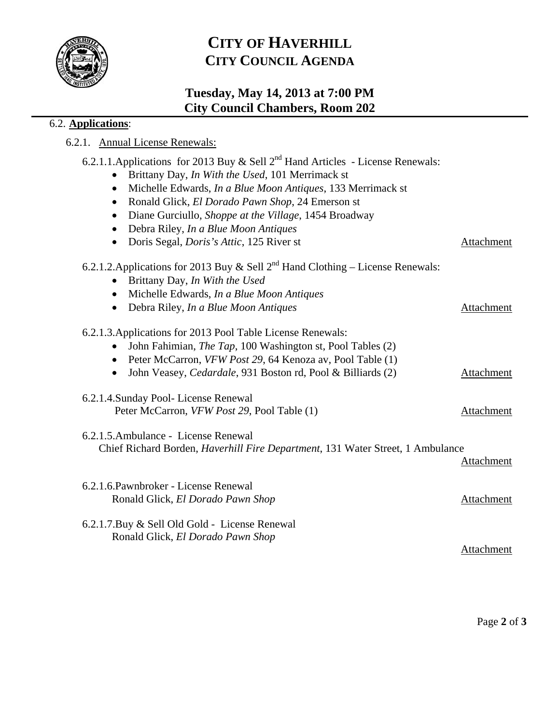

# **CITY OF HAVERHILL CITY COUNCIL AGENDA**

## **Tuesday, May 14, 2013 at 7:00 PM City Council Chambers, Room 202**

## 6.2. **Applications**:

6.2.1. Annual License Renewals:

| 6.2.1.1.Applications for 2013 Buy & Sell $2^{nd}$ Hand Articles - License Renewals:    |            |
|----------------------------------------------------------------------------------------|------------|
| Brittany Day, In With the Used, 101 Merrimack st                                       |            |
| Michelle Edwards, In a Blue Moon Antiques, 133 Merrimack st<br>$\bullet$               |            |
| Ronald Glick, El Dorado Pawn Shop, 24 Emerson st<br>$\bullet$                          |            |
| Diane Gurciullo, Shoppe at the Village, 1454 Broadway<br>$\bullet$                     |            |
| Debra Riley, In a Blue Moon Antiques<br>$\bullet$                                      |            |
| Doris Segal, <i>Doris's Attic</i> , 125 River st<br>$\bullet$                          | Attachment |
| 6.2.1.2. Applications for 2013 Buy & Sell $2^{nd}$ Hand Clothing – License Renewals:   |            |
| Brittany Day, In With the Used                                                         |            |
| Michelle Edwards, In a Blue Moon Antiques<br>$\bullet$                                 |            |
| Debra Riley, In a Blue Moon Antiques<br>$\bullet$                                      | Attachment |
| 6.2.1.3. Applications for 2013 Pool Table License Renewals:                            |            |
| John Fahimian, <i>The Tap</i> , 100 Washington st, Pool Tables (2)                     |            |
| Peter McCarron, VFW Post 29, 64 Kenoza av, Pool Table (1)<br>$\bullet$                 |            |
| John Veasey, Cedardale, 931 Boston rd, Pool & Billiards (2)<br>$\bullet$               | Attachment |
| 6.2.1.4. Sunday Pool-License Renewal                                                   |            |
| Peter McCarron, VFW Post 29, Pool Table (1)                                            | Attachment |
| 6.2.1.5. Ambulance - License Renewal                                                   |            |
| Chief Richard Borden, <i>Haverhill Fire Department</i> , 131 Water Street, 1 Ambulance |            |
|                                                                                        | Attachment |
| 6.2.1.6. Pawnbroker - License Renewal                                                  |            |
| Ronald Glick, El Dorado Pawn Shop                                                      | Attachment |
| 6.2.1.7. Buy & Sell Old Gold - License Renewal                                         |            |
| Ronald Glick, El Dorado Pawn Shop                                                      |            |
|                                                                                        | Attachment |
|                                                                                        |            |

Page **2** of **3**